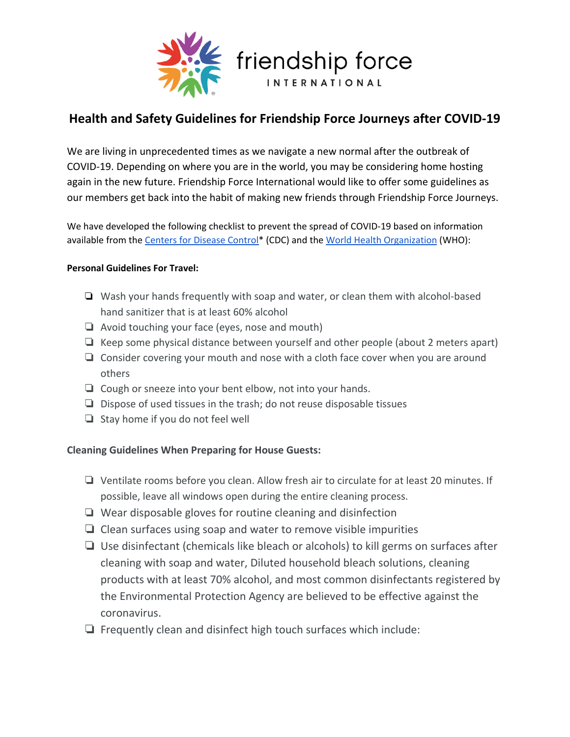

## **Health and Safety Guidelines for Friendship Force Journeys after COVID-19**

We are living in unprecedented times as we navigate a new normal after the outbreak of COVID-19. Depending on where you are in the world, you may be considering home hosting again in the new future. Friendship Force International would like to offer some guidelines as our members get back into the habit of making new friends through Friendship Force Journeys.

We have developed the following checklist to prevent the spread of COVID-19 based on information available from the [Centers](https://www.cdc.gov/coronavirus/2019-ncov/prevent-getting-sick/disinfecting-your-home.html) for Disease Control\* (CDC) and the World Health [Organization](https://www.who.int/health-topics/coronavirus#tab=tab_2) (WHO):

## **Personal Guidelines For Travel:**

- ❏ Wash your hands frequently with soap and water, or clean them with alcohol-based hand sanitizer that is at least 60% alcohol
- ❏ Avoid touching your face (eyes, nose and mouth)
- ❏ Keep some physical distance between yourself and other people (about 2 meters apart)
- ❏ Consider covering your mouth and nose with a cloth face cover when you are around others
- ❏ Cough or sneeze into your bent elbow, not into your hands.
- ❏ Dispose of used tissues in the trash; do not reuse disposable tissues
- ❏ Stay home if you do not feel well

## **Cleaning Guidelines When Preparing for House Guests:**

- ❏ Ventilate rooms before you clean. Allow fresh air to circulate for at least 20 minutes. If possible, leave all windows open during the entire cleaning process.
- ❏ Wear disposable gloves for routine cleaning and disinfection
- ❏ Clean surfaces using soap and water to remove visible impurities
- ❏ Use disinfectant (chemicals like bleach or alcohols) to kill germs on surfaces after cleaning with soap and water, Diluted household bleach solutions, cleaning products with at least 70% alcohol, and most common disinfectants registered by the Environmental Protection Agency are believed to be effective against the coronavirus.
- ❏ Frequently clean and disinfect high touch surfaces which include: